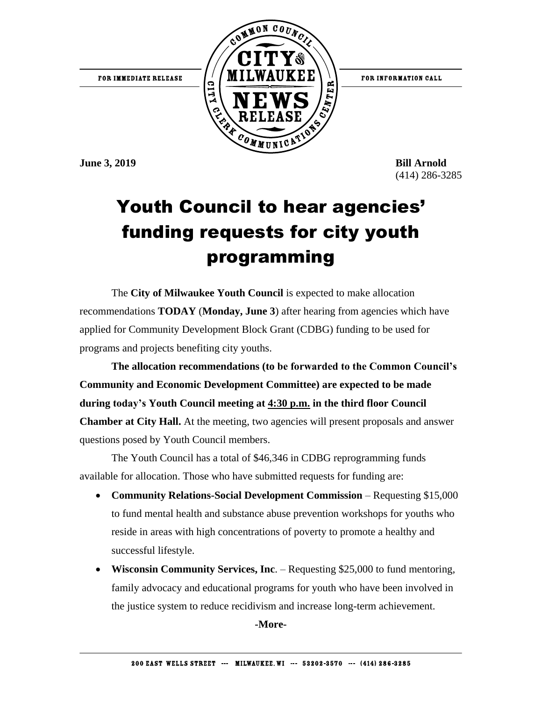

**June 3, 2019 Bill Arnold** 

(414) 286-3285

## Youth Council to hear agencies' funding requests for city youth programming

The **City of Milwaukee Youth Council** is expected to make allocation recommendations **TODAY** (**Monday, June 3**) after hearing from agencies which have applied for Community Development Block Grant (CDBG) funding to be used for programs and projects benefiting city youths.

**The allocation recommendations (to be forwarded to the Common Council's Community and Economic Development Committee) are expected to be made during today's Youth Council meeting at 4:30 p.m. in the third floor Council Chamber at City Hall.** At the meeting, two agencies will present proposals and answer questions posed by Youth Council members.

The Youth Council has a total of \$46,346 in CDBG reprogramming funds available for allocation. Those who have submitted requests for funding are:

- **Community Relations-Social Development Commission Requesting \$15,000** to fund mental health and substance abuse prevention workshops for youths who reside in areas with high concentrations of poverty to promote a healthy and successful lifestyle.
- **Wisconsin Community Services, Inc**. Requesting \$25,000 to fund mentoring, family advocacy and educational programs for youth who have been involved in the justice system to reduce recidivism and increase long-term achievement.

**-More-**